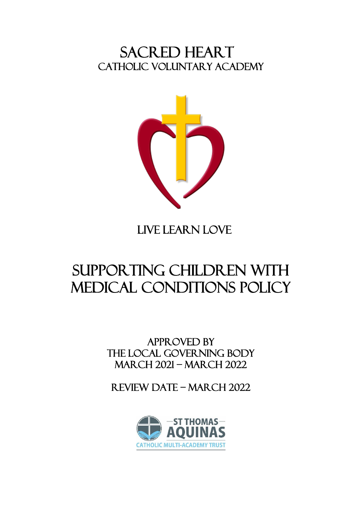

# LIVE LEARN LOVE

# Supporting children with MEDICAL CONDITIONS POLICY

APPROVED BY THE local GOVERNING BODY March 2021 – march 2022

Review date – march 2022

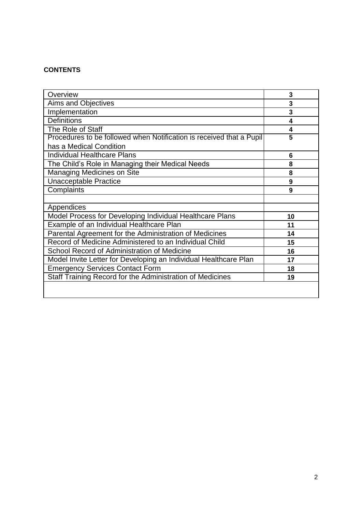## **CONTENTS**

| Overview                                                             | 3  |
|----------------------------------------------------------------------|----|
| <b>Aims and Objectives</b>                                           | 3  |
| Implementation                                                       | 3  |
| <b>Definitions</b>                                                   | 4  |
| The Role of Staff                                                    | 4  |
| Procedures to be followed when Notification is received that a Pupil | 5  |
| has a Medical Condition                                              |    |
| <b>Individual Healthcare Plans</b>                                   | 6  |
| The Child's Role in Managing their Medical Needs                     | 8  |
| Managing Medicines on Site                                           | 8  |
| <b>Unacceptable Practice</b>                                         | 9  |
| Complaints                                                           | 9  |
|                                                                      |    |
| Appendices                                                           |    |
| Model Process for Developing Individual Healthcare Plans             | 10 |
| Example of an Individual Healthcare Plan                             | 11 |
| Parental Agreement for the Administration of Medicines               | 14 |
| Record of Medicine Administered to an Individual Child               | 15 |
| School Record of Administration of Medicine                          | 16 |
| Model Invite Letter for Developing an Individual Healthcare Plan     | 17 |
| <b>Emergency Services Contact Form</b>                               | 18 |
| Staff Training Record for the Administration of Medicines            | 19 |
|                                                                      |    |
|                                                                      |    |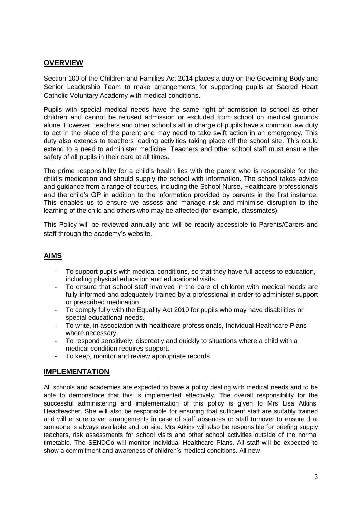#### **OVERVIEW**

Section 100 of the Children and Families Act 2014 places a duty on the Governing Body and Senior Leadership Team to make arrangements for supporting pupils at Sacred Heart Catholic Voluntary Academy with medical conditions.

Pupils with special medical needs have the same right of admission to school as other children and cannot be refused admission or excluded from school on medical grounds alone. However, teachers and other school staff in charge of pupils have a common law duty to act in the place of the parent and may need to take swift action in an emergency. This duty also extends to teachers leading activities taking place off the school site. This could extend to a need to administer medicine. Teachers and other school staff must ensure the safety of all pupils in their care at all times.

The prime responsibility for a child's health lies with the parent who is responsible for the child's medication and should supply the school with information. The school takes advice and guidance from a range of sources, including the School Nurse, Healthcare professionals and the child's GP in addition to the information provided by parents in the first instance. This enables us to ensure we assess and manage risk and minimise disruption to the learning of the child and others who may be affected (for example, classmates).

This Policy will be reviewed annually and will be readily accessible to Parents/Carers and staff through the academy's website.

#### **AIMS**

- To support pupils with medical conditions, so that they have full access to education, including physical education and educational visits.
- To ensure that school staff involved in the care of children with medical needs are fully informed and adequately trained by a professional in order to administer support or prescribed medication.
- To comply fully with the Equality Act 2010 for pupils who may have disabilities or special educational needs.
- To write, in association with healthcare professionals, Individual Healthcare Plans where necessary.
- To respond sensitively, discreetly and quickly to situations where a child with a medical condition requires support.
- To keep, monitor and review appropriate records.

#### **IMPLEMENTATION**

All schools and academies are expected to have a policy dealing with medical needs and to be able to demonstrate that this is implemented effectively. The overall responsibility for the successful administering and implementation of this policy is given to Mrs Lisa Atkins, Headteacher. She will also be responsible for ensuring that sufficient staff are suitably trained and will ensure cover arrangements in case of staff absences or staff turnover to ensure that someone is always available and on site. Mrs Atkins will also be responsible for briefing supply teachers, risk assessments for school visits and other school activities outside of the normal timetable. The SENDCo will monitor Individual Healthcare Plans. All staff will be expected to show a commitment and awareness of children's medical conditions. All new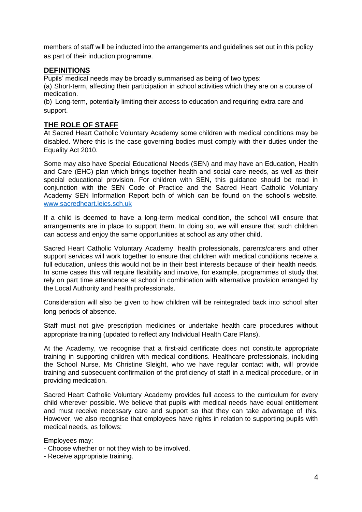members of staff will be inducted into the arrangements and guidelines set out in this policy as part of their induction programme.

#### **DEFINITIONS**

Pupils' medical needs may be broadly summarised as being of two types:

(a) Short-term, affecting their participation in school activities which they are on a course of medication.

(b) Long-term, potentially limiting their access to education and requiring extra care and support.

#### **THE ROLE OF STAFF**

At Sacred Heart Catholic Voluntary Academy some children with medical conditions may be disabled. Where this is the case governing bodies must comply with their duties under the Equality Act 2010.

Some may also have Special Educational Needs (SEN) and may have an Education, Health and Care (EHC) plan which brings together health and social care needs, as well as their special educational provision. For children with SEN, this guidance should be read in conjunction with the SEN Code of Practice and the Sacred Heart Catholic Voluntary Academy SEN Information Report both of which can be found on the school's website. [www.sacredheart.leics.sch.uk](http://www.sacredheart.leics.sch.uk/)

If a child is deemed to have a long-term medical condition, the school will ensure that arrangements are in place to support them. In doing so, we will ensure that such children can access and enjoy the same opportunities at school as any other child.

Sacred Heart Catholic Voluntary Academy, health professionals, parents/carers and other support services will work together to ensure that children with medical conditions receive a full education, unless this would not be in their best interests because of their health needs. In some cases this will require flexibility and involve, for example, programmes of study that rely on part time attendance at school in combination with alternative provision arranged by the Local Authority and health professionals.

Consideration will also be given to how children will be reintegrated back into school after long periods of absence.

Staff must not give prescription medicines or undertake health care procedures without appropriate training (updated to reflect any Individual Health Care Plans).

At the Academy, we recognise that a first-aid certificate does not constitute appropriate training in supporting children with medical conditions. Healthcare professionals, including the School Nurse, Ms Christine Sleight, who we have regular contact with, will provide training and subsequent confirmation of the proficiency of staff in a medical procedure, or in providing medication.

Sacred Heart Catholic Voluntary Academy provides full access to the curriculum for every child wherever possible. We believe that pupils with medical needs have equal entitlement and must receive necessary care and support so that they can take advantage of this. However, we also recognise that employees have rights in relation to supporting pupils with medical needs, as follows:

Employees may:

- Choose whether or not they wish to be involved.
- Receive appropriate training.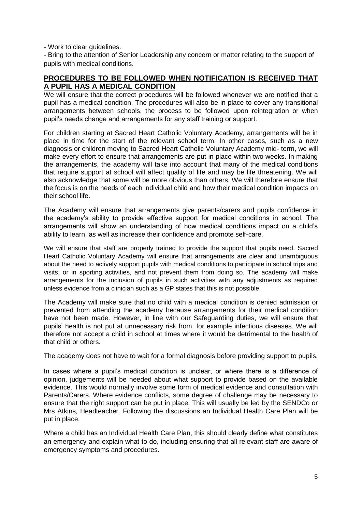- Work to clear guidelines.

- Bring to the attention of Senior Leadership any concern or matter relating to the support of pupils with medical conditions.

#### **PROCEDURES TO BE FOLLOWED WHEN NOTIFICATION IS RECEIVED THAT A PUPIL HAS A MEDICAL CONDITION**

We will ensure that the correct procedures will be followed whenever we are notified that a pupil has a medical condition. The procedures will also be in place to cover any transitional arrangements between schools, the process to be followed upon reintegration or when pupil's needs change and arrangements for any staff training or support.

For children starting at Sacred Heart Catholic Voluntary Academy, arrangements will be in place in time for the start of the relevant school term. In other cases, such as a new diagnosis or children moving to Sacred Heart Catholic Voluntary Academy mid- term, we will make every effort to ensure that arrangements are put in place within two weeks. In making the arrangements, the academy will take into account that many of the medical conditions that require support at school will affect quality of life and may be life threatening. We will also acknowledge that some will be more obvious than others. We will therefore ensure that the focus is on the needs of each individual child and how their medical condition impacts on their school life.

The Academy will ensure that arrangements give parents/carers and pupils confidence in the academy's ability to provide effective support for medical conditions in school. The arrangements will show an understanding of how medical conditions impact on a child's ability to learn, as well as increase their confidence and promote self-care.

We will ensure that staff are properly trained to provide the support that pupils need. Sacred Heart Catholic Voluntary Academy will ensure that arrangements are clear and unambiguous about the need to actively support pupils with medical conditions to participate in school trips and visits, or in sporting activities, and not prevent them from doing so. The academy will make arrangements for the inclusion of pupils in such activities with any adjustments as required unless evidence from a clinician such as a GP states that this is not possible.

The Academy will make sure that no child with a medical condition is denied admission or prevented from attending the academy because arrangements for their medical condition have not been made. However, in line with our Safeguarding duties, we will ensure that pupils' health is not put at unnecessary risk from, for example infectious diseases. We will therefore not accept a child in school at times where it would be detrimental to the health of that child or others.

The academy does not have to wait for a formal diagnosis before providing support to pupils.

In cases where a pupil's medical condition is unclear, or where there is a difference of opinion, judgements will be needed about what support to provide based on the available evidence. This would normally involve some form of medical evidence and consultation with Parents/Carers. Where evidence conflicts, some degree of challenge may be necessary to ensure that the right support can be put in place. This will usually be led by the SENDCo or Mrs Atkins, Headteacher. Following the discussions an Individual Health Care Plan will be put in place.

Where a child has an Individual Health Care Plan, this should clearly define what constitutes an emergency and explain what to do, including ensuring that all relevant staff are aware of emergency symptoms and procedures.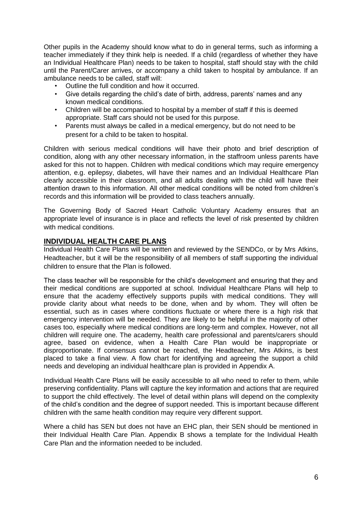Other pupils in the Academy should know what to do in general terms, such as informing a teacher immediately if they think help is needed. If a child (regardless of whether they have an Individual Healthcare Plan) needs to be taken to hospital, staff should stay with the child until the Parent/Carer arrives, or accompany a child taken to hospital by ambulance. If an ambulance needs to be called, staff will:

- Outline the full condition and how it occurred.
- Give details regarding the child's date of birth, address, parents' names and any known medical conditions.
- Children will be accompanied to hospital by a member of staff if this is deemed appropriate. Staff cars should not be used for this purpose.
- Parents must always be called in a medical emergency, but do not need to be present for a child to be taken to hospital.

Children with serious medical conditions will have their photo and brief description of condition, along with any other necessary information, in the staffroom unless parents have asked for this not to happen. Children with medical conditions which may require emergency attention, e.g. epilepsy, diabetes, will have their names and an Individual Healthcare Plan clearly accessible in their classroom, and all adults dealing with the child will have their attention drawn to this information. All other medical conditions will be noted from children's records and this information will be provided to class teachers annually.

The Governing Body of Sacred Heart Catholic Voluntary Academy ensures that an appropriate level of insurance is in place and reflects the level of risk presented by children with medical conditions.

#### **INDIVIDUAL HEALTH CARE PLANS**

Individual Health Care Plans will be written and reviewed by the SENDCo, or by Mrs Atkins, Headteacher, but it will be the responsibility of all members of staff supporting the individual children to ensure that the Plan is followed.

The class teacher will be responsible for the child's development and ensuring that they and their medical conditions are supported at school. Individual Healthcare Plans will help to ensure that the academy effectively supports pupils with medical conditions. They will provide clarity about what needs to be done, when and by whom. They will often be essential, such as in cases where conditions fluctuate or where there is a high risk that emergency intervention will be needed. They are likely to be helpful in the majority of other cases too, especially where medical conditions are long-term and complex. However, not all children will require one. The academy, health care professional and parents/carers should agree, based on evidence, when a Health Care Plan would be inappropriate or disproportionate. If consensus cannot be reached, the Headteacher, Mrs Atkins, is best placed to take a final view. A flow chart for identifying and agreeing the support a child needs and developing an individual healthcare plan is provided in Appendix A.

Individual Health Care Plans will be easily accessible to all who need to refer to them, while preserving confidentiality. Plans will capture the key information and actions that are required to support the child effectively. The level of detail within plans will depend on the complexity of the child's condition and the degree of support needed. This is important because different children with the same health condition may require very different support.

Where a child has SEN but does not have an EHC plan, their SEN should be mentioned in their Individual Health Care Plan. Appendix B shows a template for the Individual Health Care Plan and the information needed to be included.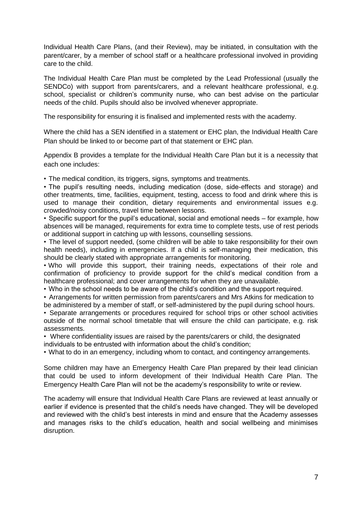Individual Health Care Plans, (and their Review), may be initiated, in consultation with the parent/carer, by a member of school staff or a healthcare professional involved in providing care to the child.

The Individual Health Care Plan must be completed by the Lead Professional (usually the SENDCo) with support from parents/carers, and a relevant healthcare professional, e.g. school, specialist or children's community nurse, who can best advise on the particular needs of the child. Pupils should also be involved whenever appropriate.

The responsibility for ensuring it is finalised and implemented rests with the academy.

Where the child has a SEN identified in a statement or EHC plan, the Individual Health Care Plan should be linked to or become part of that statement or EHC plan.

Appendix B provides a template for the Individual Health Care Plan but it is a necessity that each one includes:

• The medical condition, its triggers, signs, symptoms and treatments.

• The pupil's resulting needs, including medication (dose, side-effects and storage) and other treatments, time, facilities, equipment, testing, access to food and drink where this is used to manage their condition, dietary requirements and environmental issues e.g. crowded/noisy conditions, travel time between lessons.

• Specific support for the pupil's educational, social and emotional needs – for example, how absences will be managed, requirements for extra time to complete tests, use of rest periods or additional support in catching up with lessons, counselling sessions.

• The level of support needed, (some children will be able to take responsibility for their own health needs), including in emergencies. If a child is self-managing their medication, this should be clearly stated with appropriate arrangements for monitoring.

• Who will provide this support, their training needs, expectations of their role and confirmation of proficiency to provide support for the child's medical condition from a healthcare professional; and cover arrangements for when they are unavailable.

• Who in the school needs to be aware of the child's condition and the support required.

• Arrangements for written permission from parents/carers and Mrs Atkins for medication to be administered by a member of staff, or self-administered by the pupil during school hours.

• Separate arrangements or procedures required for school trips or other school activities outside of the normal school timetable that will ensure the child can participate, e.g. risk assessments.

• Where confidentiality issues are raised by the parents/carers or child, the designated individuals to be entrusted with information about the child's condition;

• What to do in an emergency, including whom to contact, and contingency arrangements.

Some children may have an Emergency Health Care Plan prepared by their lead clinician that could be used to inform development of their Individual Health Care Plan. The Emergency Health Care Plan will not be the academy's responsibility to write or review.

The academy will ensure that Individual Health Care Plans are reviewed at least annually or earlier if evidence is presented that the child's needs have changed. They will be developed and reviewed with the child's best interests in mind and ensure that the Academy assesses and manages risks to the child's education, health and social wellbeing and minimises disruption.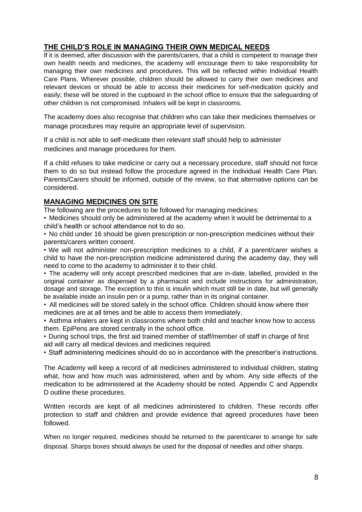#### **THE CHILD'S ROLE IN MANAGING THEIR OWN MEDICAL NEEDS**

If it is deemed, after discussion with the parents/carers, that a child is competent to manage their own health needs and medicines, the academy will encourage them to take responsibility for managing their own medicines and procedures. This will be reflected within Individual Health Care Plans. Wherever possible, children should be allowed to carry their own medicines and relevant devices or should be able to access their medicines for self-medication quickly and easily; these will be stored in the cupboard in the school office to ensure that the safeguarding of other children is not compromised. Inhalers will be kept in classrooms.

The academy does also recognise that children who can take their medicines themselves or manage procedures may require an appropriate level of supervision.

If a child is not able to self-medicate then relevant staff should help to administer medicines and manage procedures for them.

If a child refuses to take medicine or carry out a necessary procedure, staff should not force them to do so but instead follow the procedure agreed in the Individual Health Care Plan. Parents/Carers should be informed, outside of the review, so that alternative options can be considered.

#### **MANAGING MEDICINES ON SITE**

The following are the procedures to be followed for managing medicines:

• Medicines should only be administered at the academy when it would be detrimental to a child's health or school attendance not to do so.

• No child under 16 should be given prescription or non-prescription medicines without their parents/carers written consent.

• We will not administer non-prescription medicines to a child, if a parent/carer wishes a child to have the non-prescription medicine administered during the academy day, they will need to come to the academy to administer it to their child.

• The academy will only accept prescribed medicines that are in-date, labelled, provided in the original container as dispensed by a pharmacist and include instructions for administration, dosage and storage. The exception to this is insulin which must still be in date, but will generally be available inside an insulin pen or a pump, rather than in its original container.

• All medicines will be stored safely in the school office. Children should know where their medicines are at all times and be able to access them immediately.

• Asthma inhalers are kept in classrooms where both child and teacher know how to access them. EpiPens are stored centrally in the school office.

• During school trips, the first aid trained member of staff/member of staff in charge of first aid will carry all medical devices and medicines required.

• Staff administering medicines should do so in accordance with the prescriber's instructions.

The Academy will keep a record of all medicines administered to individual children, stating what, how and how much was administered, when and by whom. Any side effects of the medication to be administered at the Academy should be noted. Appendix C and Appendix D outline these procedures.

Written records are kept of all medicines administered to children. These records offer protection to staff and children and provide evidence that agreed procedures have been followed.

When no longer required, medicines should be returned to the parent/carer to arrange for safe disposal. Sharps boxes should always be used for the disposal of needles and other sharps.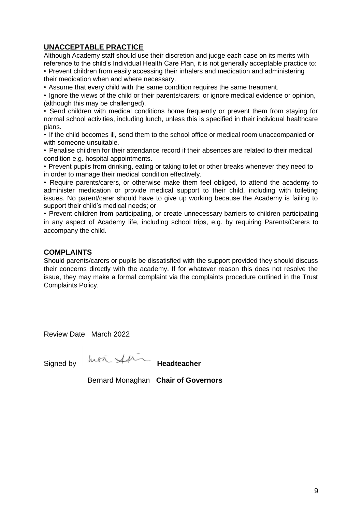### **UNACCEPTABLE PRACTICE**

Although Academy staff should use their discretion and judge each case on its merits with reference to the child's Individual Health Care Plan, it is not generally acceptable practice to:

• Prevent children from easily accessing their inhalers and medication and administering their medication when and where necessary.

• Assume that every child with the same condition requires the same treatment.

• Ignore the views of the child or their parents/carers; or ignore medical evidence or opinion, (although this may be challenged).

• Send children with medical conditions home frequently or prevent them from staying for normal school activities, including lunch, unless this is specified in their individual healthcare plans.

• If the child becomes ill, send them to the school office or medical room unaccompanied or with someone unsuitable.

• Penalise children for their attendance record if their absences are related to their medical condition e.g. hospital appointments.

• Prevent pupils from drinking, eating or taking toilet or other breaks whenever they need to in order to manage their medical condition effectively.

• Require parents/carers, or otherwise make them feel obliged, to attend the academy to administer medication or provide medical support to their child, including with toileting issues. No parent/carer should have to give up working because the Academy is failing to support their child's medical needs; or

• Prevent children from participating, or create unnecessary barriers to children participating in any aspect of Academy life, including school trips, e.g. by requiring Parents/Carers to accompany the child.

#### **COMPLAINTS**

Should parents/carers or pupils be dissatisfied with the support provided they should discuss their concerns directly with the academy. If for whatever reason this does not resolve the issue, they may make a formal complaint via the complaints procedure outlined in the Trust Complaints Policy.

Review Date March 2022

Signed by *WAX AMA* Headteacher

Bernard Monaghan **Chair of Governors**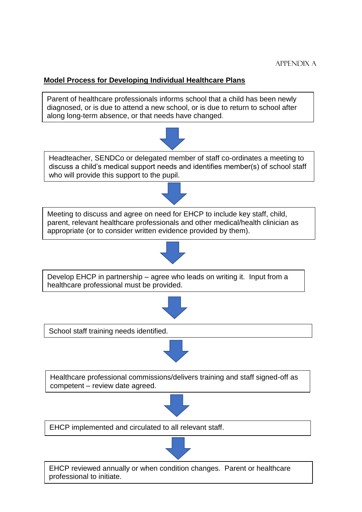## **Model Process for Developing Individual Healthcare Plans**

Parent of healthcare professionals informs school that a child has been newly diagnosed, or is due to attend a new school, or is due to return to school after along long-term absence, or that needs have changed.



Headteacher, SENDCo or delegated member of staff co-ordinates a meeting to discuss a child's medical support needs and identifies member(s) of school staff who will provide this support to the pupil.

Meeting to discuss and agree on need for EHCP to include key staff, child, parent, relevant healthcare professionals and other medical/health clinician as appropriate (or to consider written evidence provided by them).



Develop EHCP in partnership – agree who leads on writing it. Input from a healthcare professional must be provided.



School staff training needs identified.



Healthcare professional commissions/delivers training and staff signed-off as competent – review date agreed.



EHCP implemented and circulated to all relevant staff.



EHCP reviewed annually or when condition changes. Parent or healthcare professional to initiate. professional to initiate.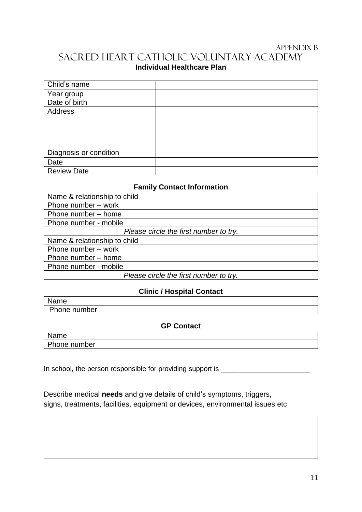#### APPENDIX B SACRED HEART CATHOLIC VOLUNTARY ACADEMY **Individual Healthcare Plan**

| Child's name           |  |
|------------------------|--|
| Year group             |  |
| Date of birth          |  |
| Address                |  |
|                        |  |
|                        |  |
|                        |  |
|                        |  |
| Diagnosis or condition |  |
| Date                   |  |
| <b>Review Date</b>     |  |

#### **Family Contact Information**

| Name & relationship to child           |  |  |
|----------------------------------------|--|--|
| Phone number $-$ work                  |  |  |
| Phone number – home                    |  |  |
| Phone number - mobile                  |  |  |
| Please circle the first number to try. |  |  |
| Name & relationship to child           |  |  |
| Phone number $-$ work                  |  |  |
| Phone number – home                    |  |  |
| Phone number - mobile                  |  |  |
| Please circle the first number to try. |  |  |

## **Clinic / Hospital Contact**

| Name         |  |
|--------------|--|
| Phone number |  |

#### **GP Contact**

| Name         |  |
|--------------|--|
| Phone number |  |

In school, the person responsible for providing support is

Describe medical **needs** and give details of child's symptoms, triggers, signs, treatments, facilities, equipment or devices, environmental issues etc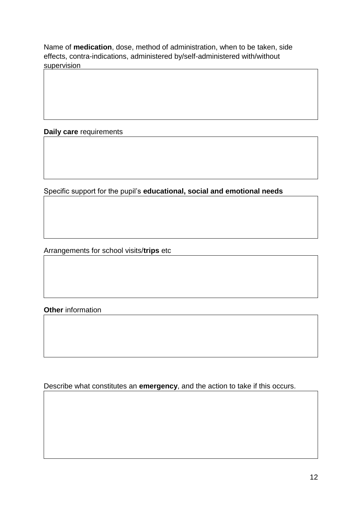Name of **medication**, dose, method of administration, when to be taken, side effects, contra-indications, administered by/self-administered with/without supervision

**Daily care** requirements

Specific support for the pupil's **educational, social and emotional needs**

Arrangements for school visits/**trips** etc

**Other** information

Describe what constitutes an **emergency**, and the action to take if this occurs.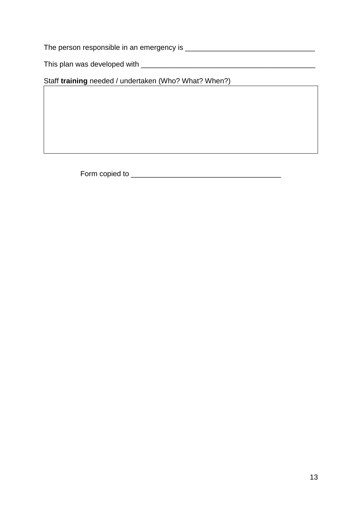The person responsible in an emergency is \_\_\_\_\_\_\_\_\_\_\_\_\_\_\_\_\_\_\_\_\_\_\_\_\_\_\_\_\_\_\_\_

This plan was developed with \_\_\_\_\_\_\_\_\_\_\_\_\_\_\_\_\_\_\_\_\_\_\_\_\_\_\_\_\_\_\_\_\_\_\_\_\_\_\_\_\_\_\_

Staff **training** needed / undertaken (Who? What? When?)

Form copied to \_\_\_\_\_\_\_\_\_\_\_\_\_\_\_\_\_\_\_\_\_\_\_\_\_\_\_\_\_\_\_\_\_\_\_\_\_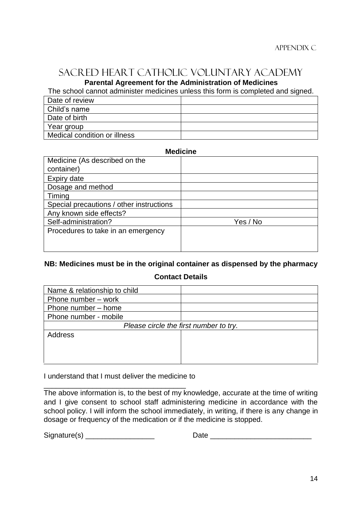# **Parental Agreement for the Administration of Medicines**

The school cannot administer medicines unless this form is completed and signed.

| Date of review               |  |
|------------------------------|--|
| Child's name                 |  |
| <sup>'</sup> Date of birth   |  |
| Year group                   |  |
| Medical condition or illness |  |

#### **Medicine**

| Medicine (As described on the            |          |
|------------------------------------------|----------|
| container)                               |          |
| Expiry date                              |          |
| Dosage and method                        |          |
| Timing                                   |          |
| Special precautions / other instructions |          |
| Any known side effects?                  |          |
| Self-administration?                     | Yes / No |
| Procedures to take in an emergency       |          |
|                                          |          |
|                                          |          |

## **NB: Medicines must be in the original container as dispensed by the pharmacy**

#### **Contact Details**

| Name & relationship to child           |  |  |
|----------------------------------------|--|--|
| Phone number – work                    |  |  |
| Phone number – home                    |  |  |
| Phone number - mobile                  |  |  |
| Please circle the first number to try. |  |  |
| Address                                |  |  |
|                                        |  |  |
|                                        |  |  |
|                                        |  |  |

I understand that I must deliver the medicine to

\_\_\_\_\_\_\_\_\_\_\_\_\_\_\_\_\_\_\_\_\_\_\_\_\_\_\_\_\_\_\_\_\_\_\_

The above information is, to the best of my knowledge, accurate at the time of writing and I give consent to school staff administering medicine in accordance with the school policy. I will inform the school immediately, in writing, if there is any change in dosage or frequency of the medication or if the medicine is stopped.

Signature(s) \_\_\_\_\_\_\_\_\_\_\_\_\_\_\_\_\_ Date \_\_\_\_\_\_\_\_\_\_\_\_\_\_\_\_\_\_\_\_\_\_\_\_\_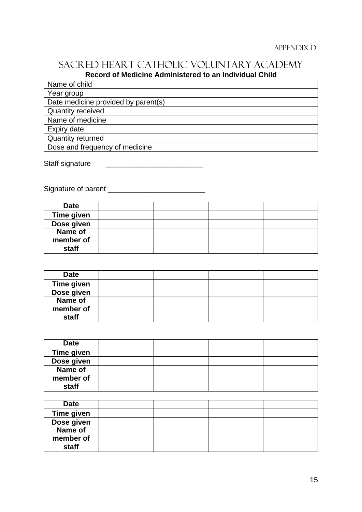# SACRED HEART CATHOLIC VOLUNTARY ACADEMY **Record of Medicine Administered to an Individual Child**

| Name of child                       |  |
|-------------------------------------|--|
| Year group                          |  |
| Date medicine provided by parent(s) |  |
| <b>Quantity received</b>            |  |
| Name of medicine                    |  |
| Expiry date                         |  |
| <b>Quantity returned</b>            |  |
| Dose and frequency of medicine      |  |

Staff signature \_\_\_\_\_\_\_\_\_\_\_\_\_\_\_\_\_\_\_\_\_\_\_\_

Signature of parent \_\_\_\_\_\_\_\_\_\_\_\_\_\_\_\_\_\_\_\_\_\_\_\_

| <b>Date</b> |  |  |
|-------------|--|--|
| Time given  |  |  |
| Dose given  |  |  |
| Name of     |  |  |
| member of   |  |  |
| staff       |  |  |

| <b>Date</b> |  |  |
|-------------|--|--|
| Time given  |  |  |
| Dose given  |  |  |
| Name of     |  |  |
| member of   |  |  |
| staff       |  |  |

| <b>Date</b>       |  |  |
|-------------------|--|--|
| <b>Time given</b> |  |  |
| Dose given        |  |  |
| Name of           |  |  |
| member of         |  |  |
| staff             |  |  |

| <b>Date</b>    |  |  |
|----------------|--|--|
| Time given     |  |  |
| Dose given     |  |  |
| <b>Name of</b> |  |  |
| member of      |  |  |
| staff          |  |  |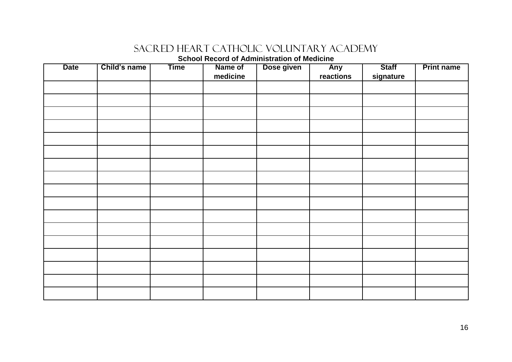**School Record of Administration of Medicine**

| <b>Date</b> | Child's name | <b>Time</b> | Name of<br>medicine | Dose given | Any<br>reactions | <b>Staff</b><br>signature | <b>Print name</b> |
|-------------|--------------|-------------|---------------------|------------|------------------|---------------------------|-------------------|
|             |              |             |                     |            |                  |                           |                   |
|             |              |             |                     |            |                  |                           |                   |
|             |              |             |                     |            |                  |                           |                   |
|             |              |             |                     |            |                  |                           |                   |
|             |              |             |                     |            |                  |                           |                   |
|             |              |             |                     |            |                  |                           |                   |
|             |              |             |                     |            |                  |                           |                   |
|             |              |             |                     |            |                  |                           |                   |
|             |              |             |                     |            |                  |                           |                   |
|             |              |             |                     |            |                  |                           |                   |
|             |              |             |                     |            |                  |                           |                   |
|             |              |             |                     |            |                  |                           |                   |
|             |              |             |                     |            |                  |                           |                   |
|             |              |             |                     |            |                  |                           |                   |
|             |              |             |                     |            |                  |                           |                   |
|             |              |             |                     |            |                  |                           |                   |
|             |              |             |                     |            |                  |                           |                   |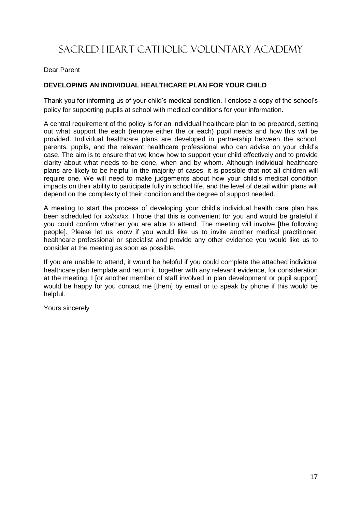Dear Parent

#### **DEVELOPING AN INDIVIDUAL HEALTHCARE PLAN FOR YOUR CHILD**

Thank you for informing us of your child's medical condition. I enclose a copy of the school's policy for supporting pupils at school with medical conditions for your information.

A central requirement of the policy is for an individual healthcare plan to be prepared, setting out what support the each (remove either the or each) pupil needs and how this will be provided. Individual healthcare plans are developed in partnership between the school, parents, pupils, and the relevant healthcare professional who can advise on your child's case. The aim is to ensure that we know how to support your child effectively and to provide clarity about what needs to be done, when and by whom. Although individual healthcare plans are likely to be helpful in the majority of cases, it is possible that not all children will require one. We will need to make judgements about how your child's medical condition impacts on their ability to participate fully in school life, and the level of detail within plans will depend on the complexity of their condition and the degree of support needed.

A meeting to start the process of developing your child's individual health care plan has been scheduled for xx/xx/xx. I hope that this is convenient for you and would be grateful if you could confirm whether you are able to attend. The meeting will involve [the following people]. Please let us know if you would like us to invite another medical practitioner, healthcare professional or specialist and provide any other evidence you would like us to consider at the meeting as soon as possible.

If you are unable to attend, it would be helpful if you could complete the attached individual healthcare plan template and return it, together with any relevant evidence, for consideration at the meeting. I [or another member of staff involved in plan development or pupil support] would be happy for you contact me [them] by email or to speak by phone if this would be helpful.

Yours sincerely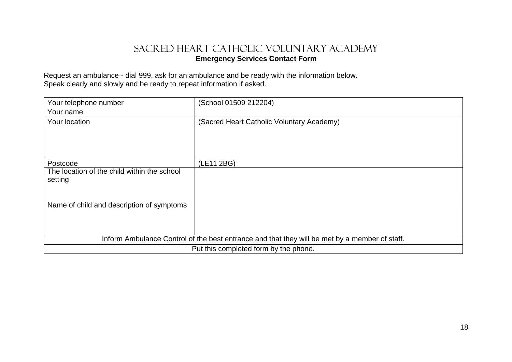# SACRED HEART CATHOLIC VOLUNTARY ACADEMY **Emergency Services Contact Form**

Request an ambulance - dial 999, ask for an ambulance and be ready with the information below. Speak clearly and slowly and be ready to repeat information if asked.

| Your telephone number                                                                         | (School 01509 212204)                     |  |  |
|-----------------------------------------------------------------------------------------------|-------------------------------------------|--|--|
| Your name                                                                                     |                                           |  |  |
| Your location                                                                                 | (Sacred Heart Catholic Voluntary Academy) |  |  |
| Postcode                                                                                      | (LE11 2BG)                                |  |  |
| The location of the child within the school<br>setting                                        |                                           |  |  |
| Name of child and description of symptoms                                                     |                                           |  |  |
| Inform Ambulance Control of the best entrance and that they will be met by a member of staff. |                                           |  |  |
| Put this completed form by the phone.                                                         |                                           |  |  |